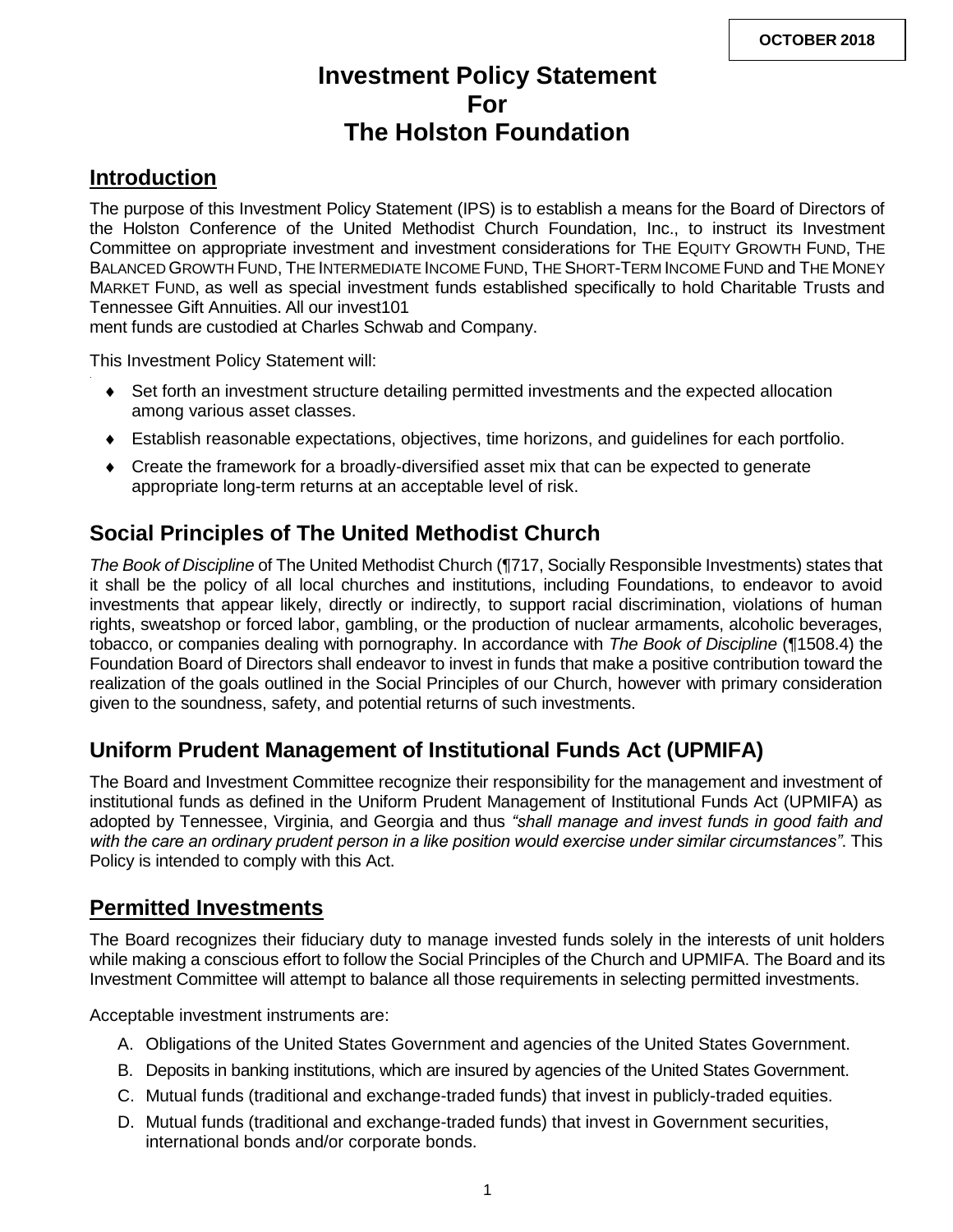# **Investment Policy Statement For The Holston Foundation**

# **Introduction**

The purpose of this Investment Policy Statement (IPS) is to establish a means for the Board of Directors of the Holston Conference of the United Methodist Church Foundation, Inc., to instruct its Investment Committee on appropriate investment and investment considerations for THE EQUITY GROWTH FUND, THE BALANCED GROWTH FUND, THE INTERMEDIATE INCOME FUND, THE SHORT-TERM INCOME FUND and THE MONEY MARKET FUND, as well as special investment funds established specifically to hold Charitable Trusts and Tennessee Gift Annuities. All our invest101

ment funds are custodied at Charles Schwab and Company.

This Investment Policy Statement will:

- Set forth an investment structure detailing permitted investments and the expected allocation among various asset classes.
- Establish reasonable expectations, objectives, time horizons, and guidelines for each portfolio.
- Create the framework for a broadly-diversified asset mix that can be expected to generate appropriate long-term returns at an acceptable level of risk.

# **Social Principles of The United Methodist Church**

*The Book of Discipline* of The United Methodist Church (¶717, Socially Responsible Investments) states that it shall be the policy of all local churches and institutions, including Foundations, to endeavor to avoid investments that appear likely, directly or indirectly, to support racial discrimination, violations of human rights, sweatshop or forced labor, gambling, or the production of nuclear armaments, alcoholic beverages, tobacco, or companies dealing with pornography. In accordance with *The Book of Discipline* (¶1508.4) the Foundation Board of Directors shall endeavor to invest in funds that make a positive contribution toward the realization of the goals outlined in the Social Principles of our Church, however with primary consideration given to the soundness, safety, and potential returns of such investments.

# **Uniform Prudent Management of Institutional Funds Act (UPMIFA)**

The Board and Investment Committee recognize their responsibility for the management and investment of institutional funds as defined in the Uniform Prudent Management of Institutional Funds Act (UPMIFA) as adopted by Tennessee, Virginia, and Georgia and thus *"shall manage and invest funds in good faith and with the care an ordinary prudent person in a like position would exercise under similar circumstances"*. This Policy is intended to comply with this Act.

## **Permitted Investments**

The Board recognizes their fiduciary duty to manage invested funds solely in the interests of unit holders while making a conscious effort to follow the Social Principles of the Church and UPMIFA. The Board and its Investment Committee will attempt to balance all those requirements in selecting permitted investments.

Acceptable investment instruments are:

- A. Obligations of the United States Government and agencies of the United States Government.
- B. Deposits in banking institutions, which are insured by agencies of the United States Government.
- C. Mutual funds (traditional and exchange-traded funds) that invest in publicly-traded equities.
- D. Mutual funds (traditional and exchange-traded funds) that invest in Government securities, international bonds and/or corporate bonds.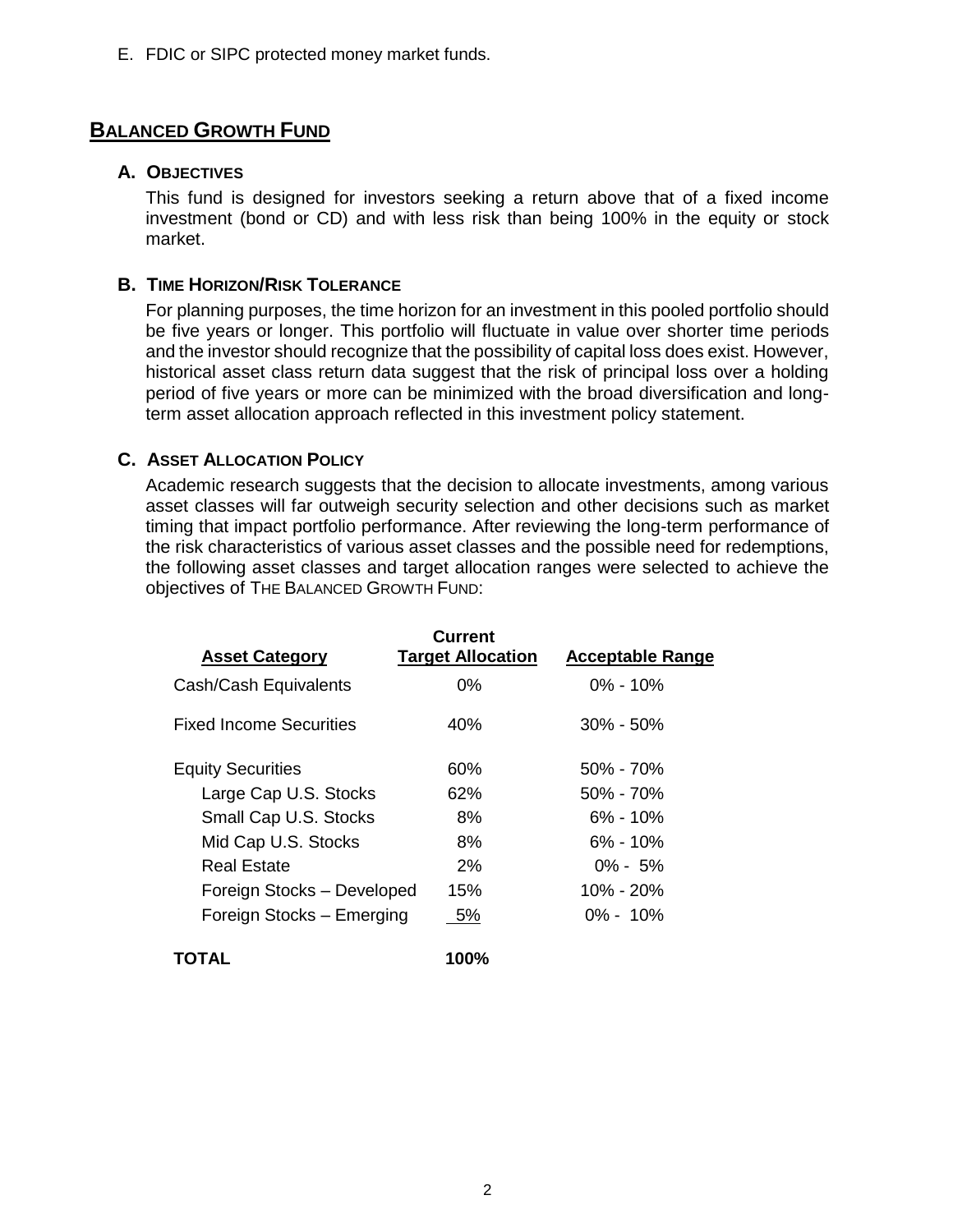E. FDIC or SIPC protected money market funds.

## **BALANCED GROWTH FUND**

### **A. OBJECTIVES**

This fund is designed for investors seeking a return above that of a fixed income investment (bond or CD) and with less risk than being 100% in the equity or stock market.

### **B. TIME HORIZON/RISK TOLERANCE**

For planning purposes, the time horizon for an investment in this pooled portfolio should be five years or longer. This portfolio will fluctuate in value over shorter time periods and the investor should recognize that the possibility of capital loss does exist. However, historical asset class return data suggest that the risk of principal loss over a holding period of five years or more can be minimized with the broad diversification and longterm asset allocation approach reflected in this investment policy statement.

## **C. ASSET ALLOCATION POLICY**

Academic research suggests that the decision to allocate investments, among various asset classes will far outweigh security selection and other decisions such as market timing that impact portfolio performance. After reviewing the long-term performance of the risk characteristics of various asset classes and the possible need for redemptions, the following asset classes and target allocation ranges were selected to achieve the objectives of THE BALANCED GROWTH FUND:

| <b>Asset Category</b>          | Current<br><b>Target Allocation</b> | <b>Acceptable Range</b> |  |
|--------------------------------|-------------------------------------|-------------------------|--|
| Cash/Cash Equivalents          | $0\%$                               | $0\% - 10\%$            |  |
| <b>Fixed Income Securities</b> | 40%                                 | $30\% - 50\%$           |  |
| <b>Equity Securities</b>       | 60%                                 | $50\% - 70\%$           |  |
| Large Cap U.S. Stocks          | 62%                                 | $50\% - 70\%$           |  |
| Small Cap U.S. Stocks          | 8%                                  | $6\% - 10\%$            |  |
| Mid Cap U.S. Stocks            | 8%                                  | $6\% - 10\%$            |  |
| Real Estate                    | $2\%$                               | $0\% - 5\%$             |  |
| Foreign Stocks - Developed     | 15%                                 | 10% - 20%               |  |
| Foreign Stocks – Emerging      | 5%                                  | $0\% - 10\%$            |  |
| TOTAL                          | 100%                                |                         |  |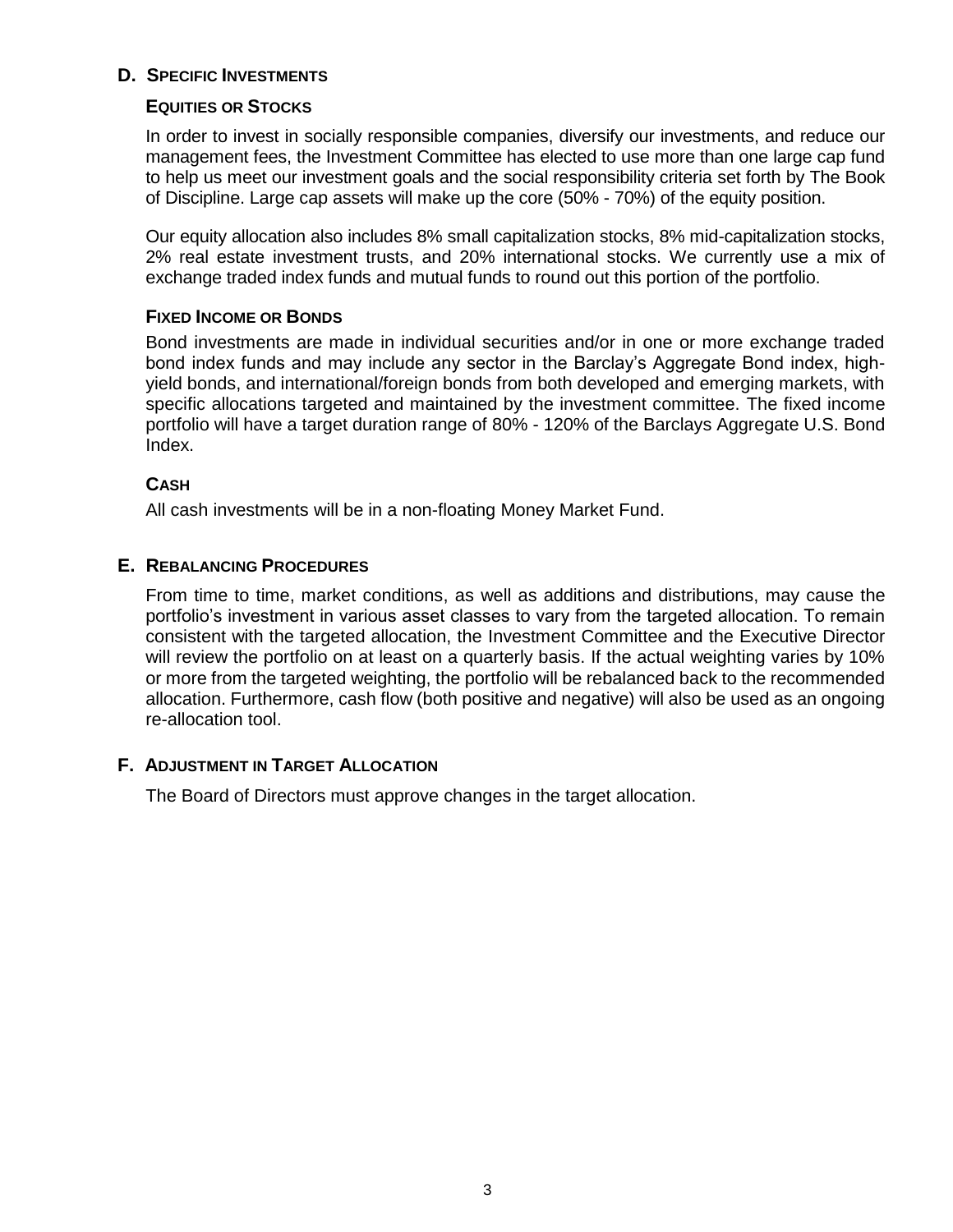## **D. SPECIFIC INVESTMENTS**

#### **EQUITIES OR STOCKS**

In order to invest in socially responsible companies, diversify our investments, and reduce our management fees, the Investment Committee has elected to use more than one large cap fund to help us meet our investment goals and the social responsibility criteria set forth by The Book of Discipline. Large cap assets will make up the core (50% - 70%) of the equity position.

Our equity allocation also includes 8% small capitalization stocks, 8% mid-capitalization stocks, 2% real estate investment trusts, and 20% international stocks. We currently use a mix of exchange traded index funds and mutual funds to round out this portion of the portfolio.

#### **FIXED INCOME OR BONDS**

Bond investments are made in individual securities and/or in one or more exchange traded bond index funds and may include any sector in the Barclay's Aggregate Bond index, highyield bonds, and international/foreign bonds from both developed and emerging markets, with specific allocations targeted and maintained by the investment committee. The fixed income portfolio will have a target duration range of 80% - 120% of the Barclays Aggregate U.S. Bond Index.

#### **CASH**

All cash investments will be in a non-floating Money Market Fund.

### **E. REBALANCING PROCEDURES**

From time to time, market conditions, as well as additions and distributions, may cause the portfolio's investment in various asset classes to vary from the targeted allocation. To remain consistent with the targeted allocation, the Investment Committee and the Executive Director will review the portfolio on at least on a quarterly basis. If the actual weighting varies by 10% or more from the targeted weighting, the portfolio will be rebalanced back to the recommended allocation. Furthermore, cash flow (both positive and negative) will also be used as an ongoing re-allocation tool.

### **F. ADJUSTMENT IN TARGET ALLOCATION**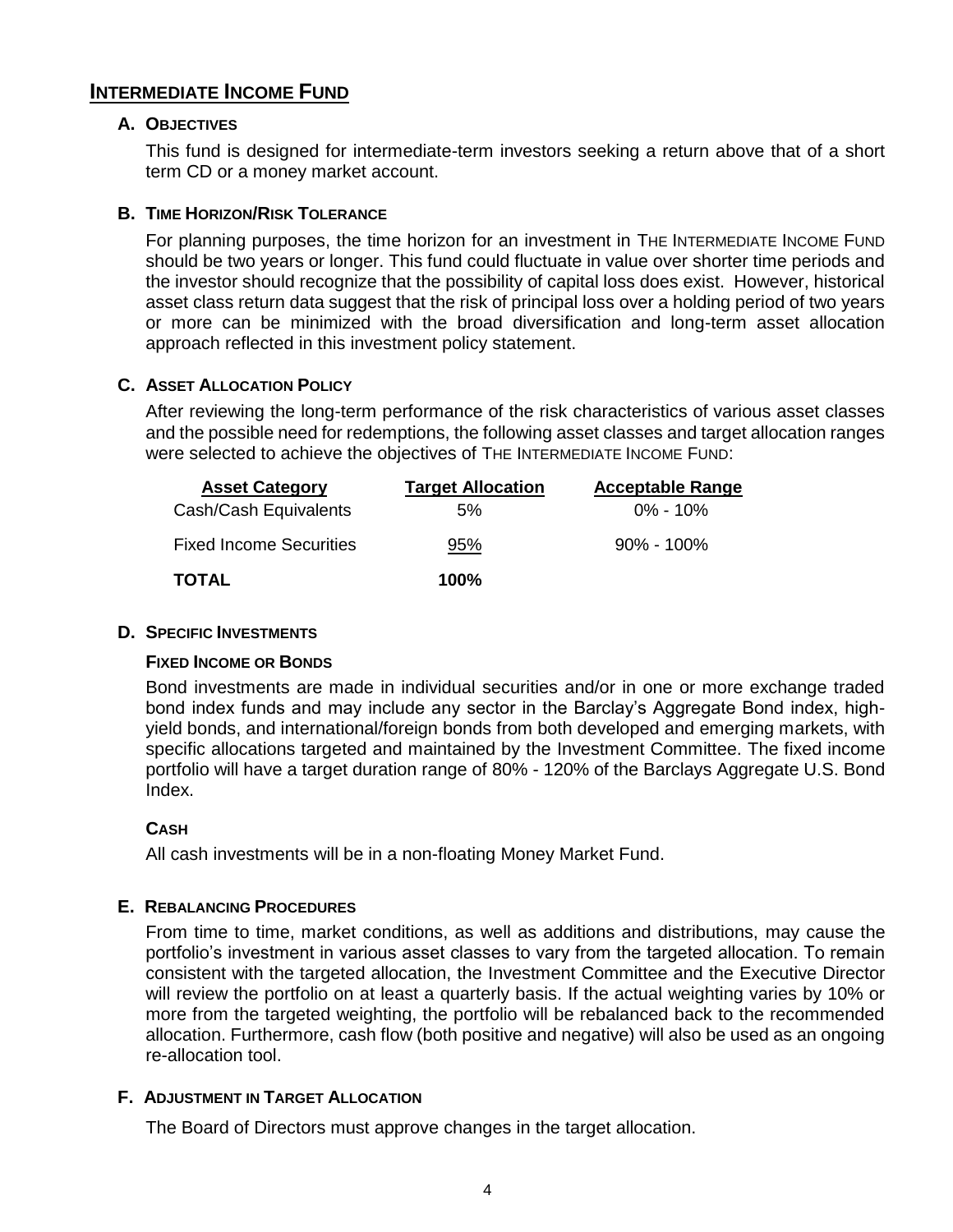## **INTERMEDIATE INCOME FUND**

#### **A. OBJECTIVES**

This fund is designed for intermediate-term investors seeking a return above that of a short term CD or a money market account.

#### **B. TIME HORIZON/RISK TOLERANCE**

For planning purposes, the time horizon for an investment in THE INTERMEDIATE INCOME FUND should be two years or longer. This fund could fluctuate in value over shorter time periods and the investor should recognize that the possibility of capital loss does exist. However, historical asset class return data suggest that the risk of principal loss over a holding period of two years or more can be minimized with the broad diversification and long-term asset allocation approach reflected in this investment policy statement.

#### **C. ASSET ALLOCATION POLICY**

After reviewing the long-term performance of the risk characteristics of various asset classes and the possible need for redemptions, the following asset classes and target allocation ranges were selected to achieve the objectives of THE INTERMEDIATE INCOME FUND:

| <b>Asset Category</b>          | <b>Target Allocation</b> | <b>Acceptable Range</b> |
|--------------------------------|--------------------------|-------------------------|
| Cash/Cash Equivalents          | 5%                       | $0\%$ - 10%             |
| <b>Fixed Income Securities</b> | 95%                      | $90\%$ - 100%           |
| <b>TOTAL</b>                   | $100\%$                  |                         |

#### **D. SPECIFIC INVESTMENTS**

### **FIXED INCOME OR BONDS**

Bond investments are made in individual securities and/or in one or more exchange traded bond index funds and may include any sector in the Barclay's Aggregate Bond index, highyield bonds, and international/foreign bonds from both developed and emerging markets, with specific allocations targeted and maintained by the Investment Committee. The fixed income portfolio will have a target duration range of 80% - 120% of the Barclays Aggregate U.S. Bond Index.

#### **CASH**

All cash investments will be in a non-floating Money Market Fund.

#### **E. REBALANCING PROCEDURES**

From time to time, market conditions, as well as additions and distributions, may cause the portfolio's investment in various asset classes to vary from the targeted allocation. To remain consistent with the targeted allocation, the Investment Committee and the Executive Director will review the portfolio on at least a quarterly basis. If the actual weighting varies by 10% or more from the targeted weighting, the portfolio will be rebalanced back to the recommended allocation. Furthermore, cash flow (both positive and negative) will also be used as an ongoing re-allocation tool.

#### **F. ADJUSTMENT IN TARGET ALLOCATION**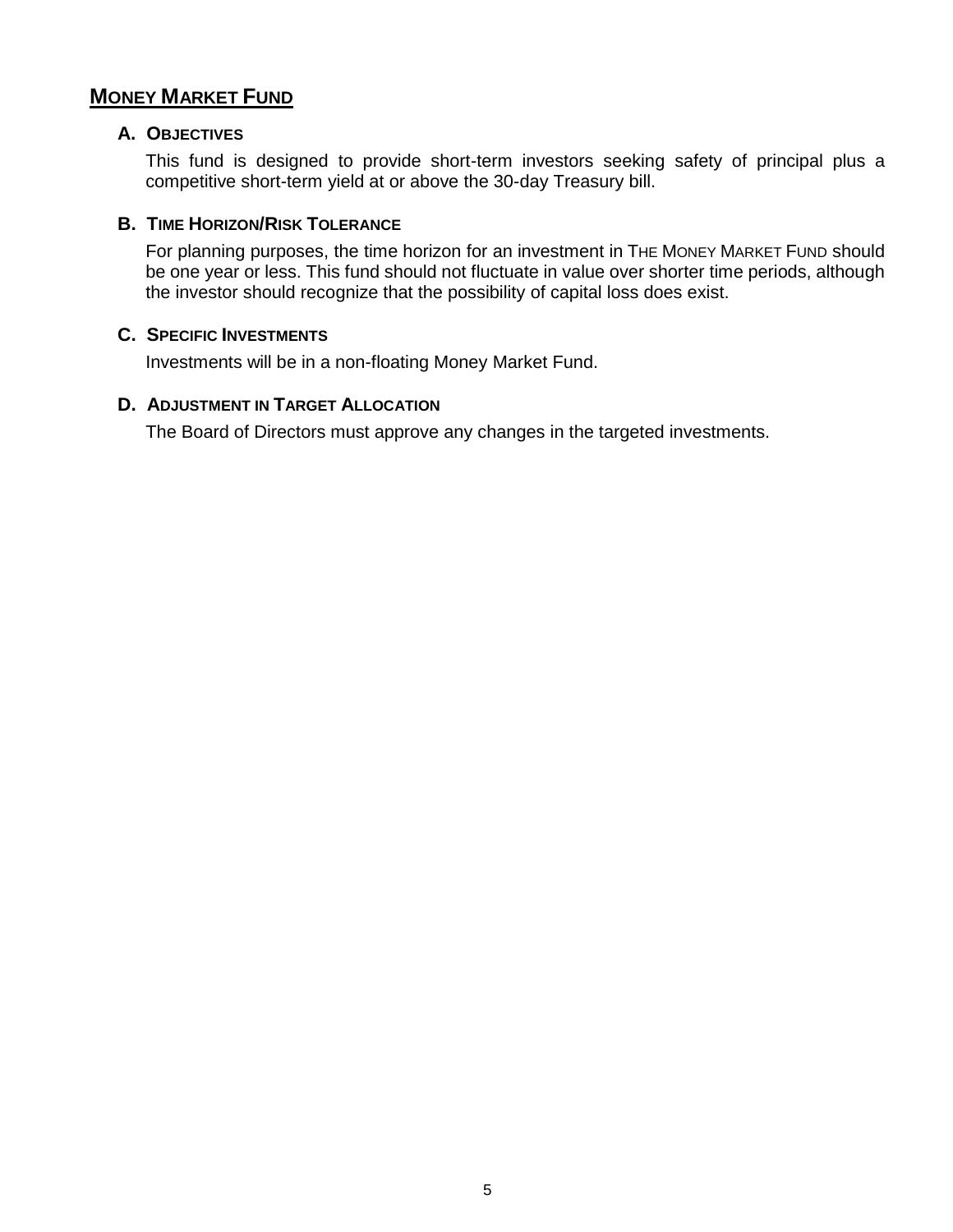## **MONEY MARKET FUND**

#### **A. OBJECTIVES**

This fund is designed to provide short-term investors seeking safety of principal plus a competitive short-term yield at or above the 30-day Treasury bill.

#### **B. TIME HORIZON/RISK TOLERANCE**

For planning purposes, the time horizon for an investment in THE MONEY MARKET FUND should be one year or less. This fund should not fluctuate in value over shorter time periods, although the investor should recognize that the possibility of capital loss does exist.

#### **C. SPECIFIC INVESTMENTS**

Investments will be in a non-floating Money Market Fund.

#### **D. ADJUSTMENT IN TARGET ALLOCATION**

The Board of Directors must approve any changes in the targeted investments.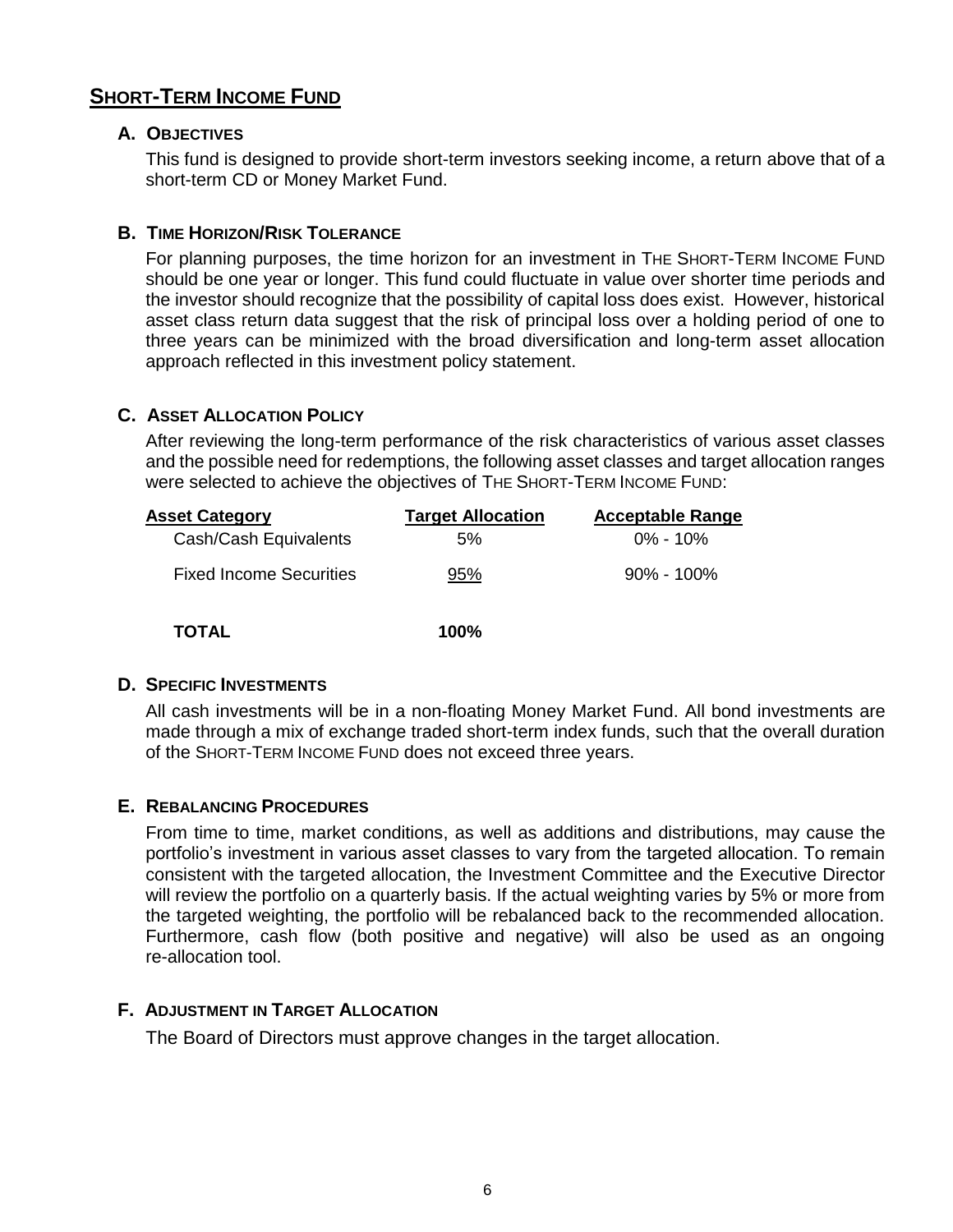## **SHORT-TERM INCOME FUND**

#### **A. OBJECTIVES**

This fund is designed to provide short-term investors seeking income, a return above that of a short-term CD or Money Market Fund.

#### **B. TIME HORIZON/RISK TOLERANCE**

For planning purposes, the time horizon for an investment in THE SHORT-TERM INCOME FUND should be one year or longer. This fund could fluctuate in value over shorter time periods and the investor should recognize that the possibility of capital loss does exist. However, historical asset class return data suggest that the risk of principal loss over a holding period of one to three years can be minimized with the broad diversification and long-term asset allocation approach reflected in this investment policy statement.

#### **C. ASSET ALLOCATION POLICY**

After reviewing the long-term performance of the risk characteristics of various asset classes and the possible need for redemptions, the following asset classes and target allocation ranges were selected to achieve the objectives of THE SHORT-TERM INCOME FUND:

| <b>Asset Category</b>          | <b>Target Allocation</b> | <b>Acceptable Range</b> |
|--------------------------------|--------------------------|-------------------------|
| Cash/Cash Equivalents          | 5%                       | $0\% - 10\%$            |
| <b>Fixed Income Securities</b> | 95%                      | $90\% - 100\%$          |
| TOTAL                          | $100\%$                  |                         |

#### **D. SPECIFIC INVESTMENTS**

All cash investments will be in a non-floating Money Market Fund. All bond investments are made through a mix of exchange traded short-term index funds, such that the overall duration of the SHORT-TERM INCOME FUND does not exceed three years.

#### **E. REBALANCING PROCEDURES**

From time to time, market conditions, as well as additions and distributions, may cause the portfolio's investment in various asset classes to vary from the targeted allocation. To remain consistent with the targeted allocation, the Investment Committee and the Executive Director will review the portfolio on a quarterly basis. If the actual weighting varies by 5% or more from the targeted weighting, the portfolio will be rebalanced back to the recommended allocation. Furthermore, cash flow (both positive and negative) will also be used as an ongoing re-allocation tool.

#### **F. ADJUSTMENT IN TARGET ALLOCATION**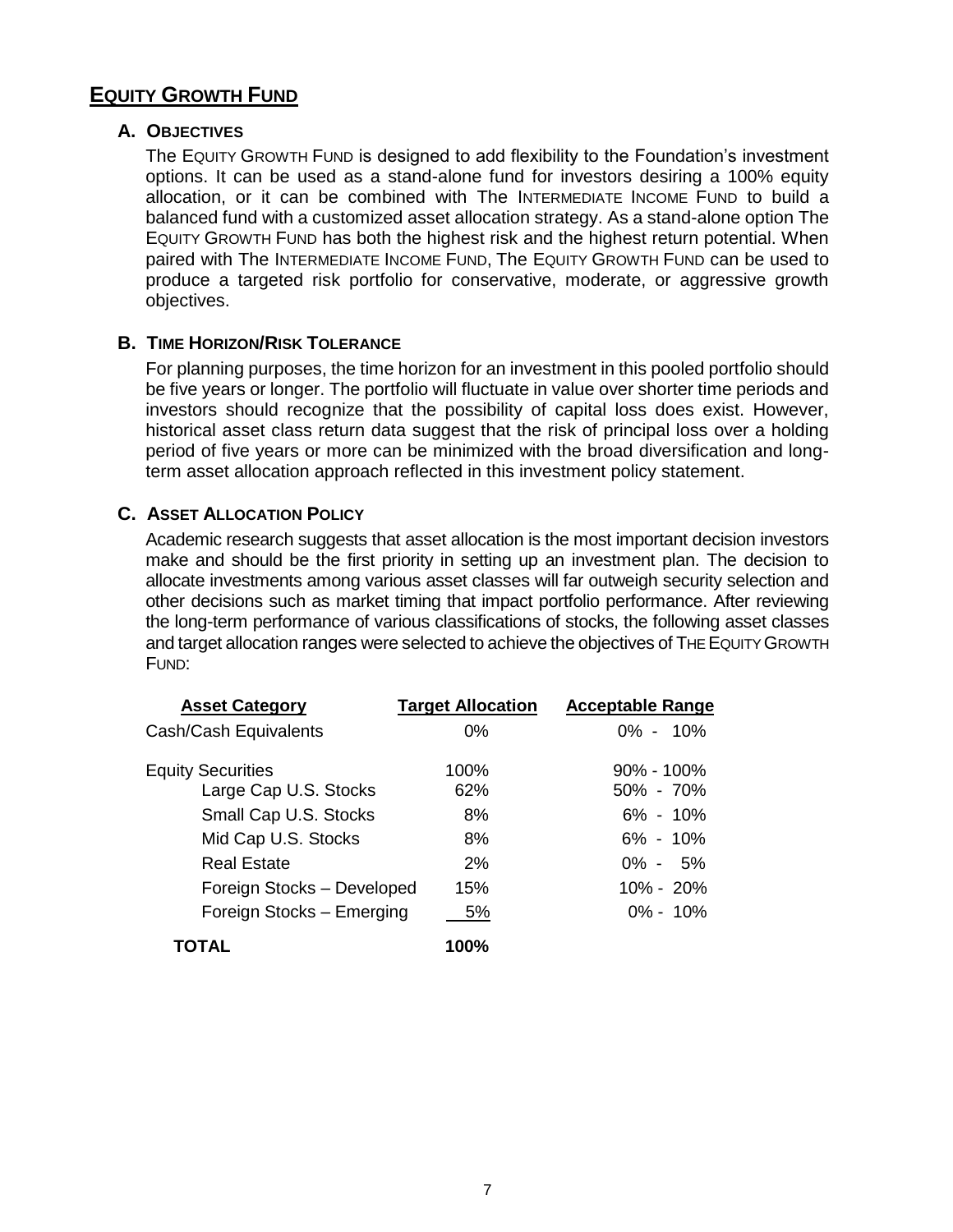# **EQUITY GROWTH FUND**

#### **A. OBJECTIVES**

The EQUITY GROWTH FUND is designed to add flexibility to the Foundation's investment options. It can be used as a stand-alone fund for investors desiring a 100% equity allocation, or it can be combined with The INTERMEDIATE INCOME FUND to build a balanced fund with a customized asset allocation strategy. As a stand-alone option The EQUITY GROWTH FUND has both the highest risk and the highest return potential. When paired with The INTERMEDIATE INCOME FUND, The EQUITY GROWTH FUND can be used to produce a targeted risk portfolio for conservative, moderate, or aggressive growth objectives.

#### **B. TIME HORIZON/RISK TOLERANCE**

For planning purposes, the time horizon for an investment in this pooled portfolio should be five years or longer. The portfolio will fluctuate in value over shorter time periods and investors should recognize that the possibility of capital loss does exist. However, historical asset class return data suggest that the risk of principal loss over a holding period of five years or more can be minimized with the broad diversification and longterm asset allocation approach reflected in this investment policy statement.

### **C. ASSET ALLOCATION POLICY**

Academic research suggests that asset allocation is the most important decision investors make and should be the first priority in setting up an investment plan. The decision to allocate investments among various asset classes will far outweigh security selection and other decisions such as market timing that impact portfolio performance. After reviewing the long-term performance of various classifications of stocks, the following asset classes and target allocation ranges were selected to achieve the objectives of THE EQUITY GROWTH FUND:

| <b>Asset Category</b>                             | <b>Target Allocation</b> | <b>Acceptable Range</b>         |
|---------------------------------------------------|--------------------------|---------------------------------|
| Cash/Cash Equivalents                             | $0\%$                    | $0\% - 10\%$                    |
| <b>Equity Securities</b><br>Large Cap U.S. Stocks | 100%<br>62%              | $90\% - 100\%$<br>$50\% - 70\%$ |
| Small Cap U.S. Stocks                             | 8%                       | $6\% - 10\%$                    |
| Mid Cap U.S. Stocks                               | 8%                       | $6\% - 10\%$                    |
| <b>Real Estate</b>                                | 2%                       | $0\% - 5\%$                     |
| Foreign Stocks - Developed                        | 15%                      | $10\% - 20\%$                   |
| Foreign Stocks - Emerging                         | 5%                       | $0\% - 10\%$                    |
| TOTAL                                             | 100%                     |                                 |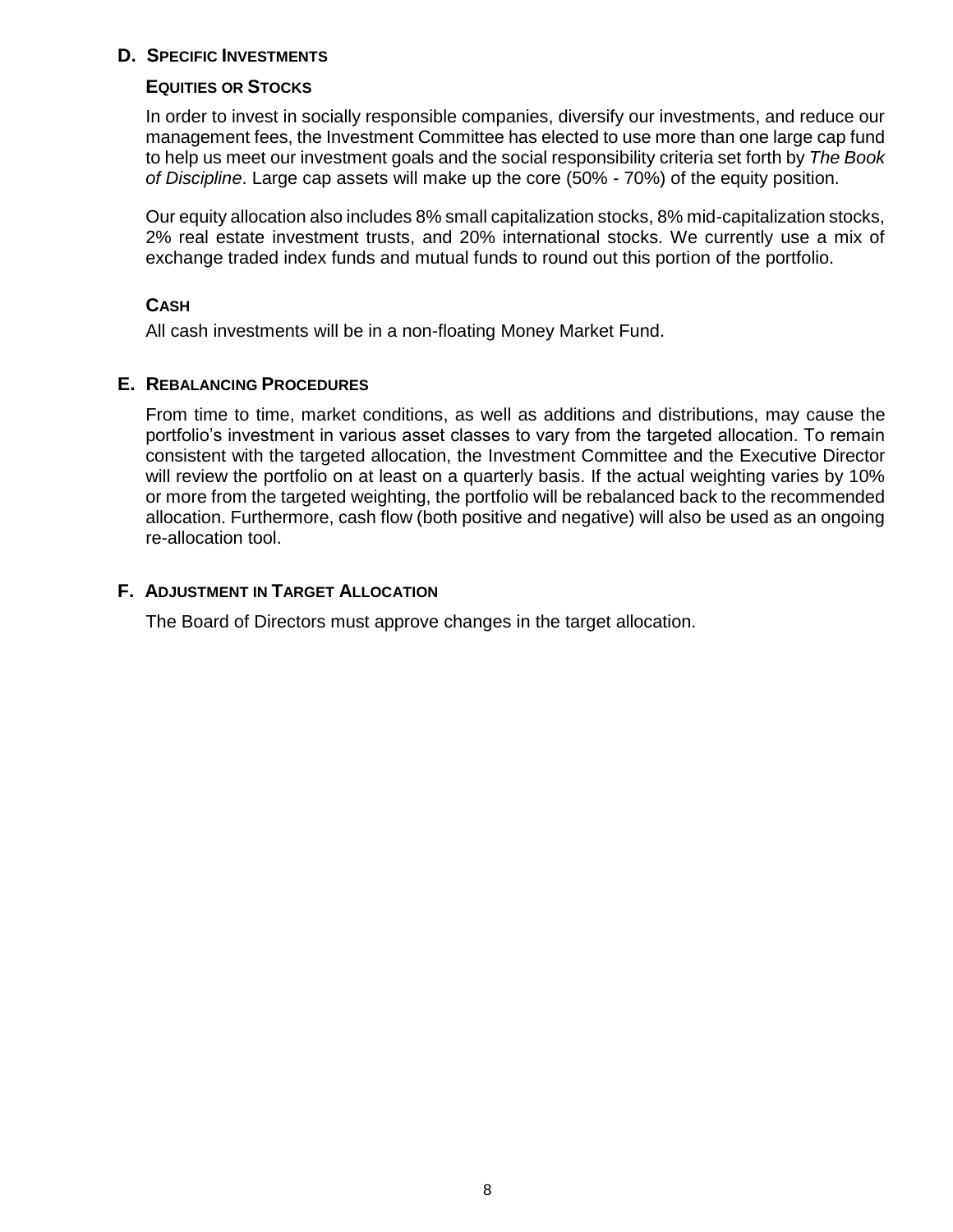#### **D. SPECIFIC INVESTMENTS**

#### **EQUITIES OR STOCKS**

In order to invest in socially responsible companies, diversify our investments, and reduce our management fees, the Investment Committee has elected to use more than one large cap fund to help us meet our investment goals and the social responsibility criteria set forth by *The Book of Discipline*. Large cap assets will make up the core (50% - 70%) of the equity position.

Our equity allocation also includes 8% small capitalization stocks, 8% mid-capitalization stocks, 2% real estate investment trusts, and 20% international stocks. We currently use a mix of exchange traded index funds and mutual funds to round out this portion of the portfolio.

#### **CASH**

All cash investments will be in a non-floating Money Market Fund.

### **E. REBALANCING PROCEDURES**

From time to time, market conditions, as well as additions and distributions, may cause the portfolio's investment in various asset classes to vary from the targeted allocation. To remain consistent with the targeted allocation, the Investment Committee and the Executive Director will review the portfolio on at least on a quarterly basis. If the actual weighting varies by 10% or more from the targeted weighting, the portfolio will be rebalanced back to the recommended allocation. Furthermore, cash flow (both positive and negative) will also be used as an ongoing re-allocation tool.

### **F. ADJUSTMENT IN TARGET ALLOCATION**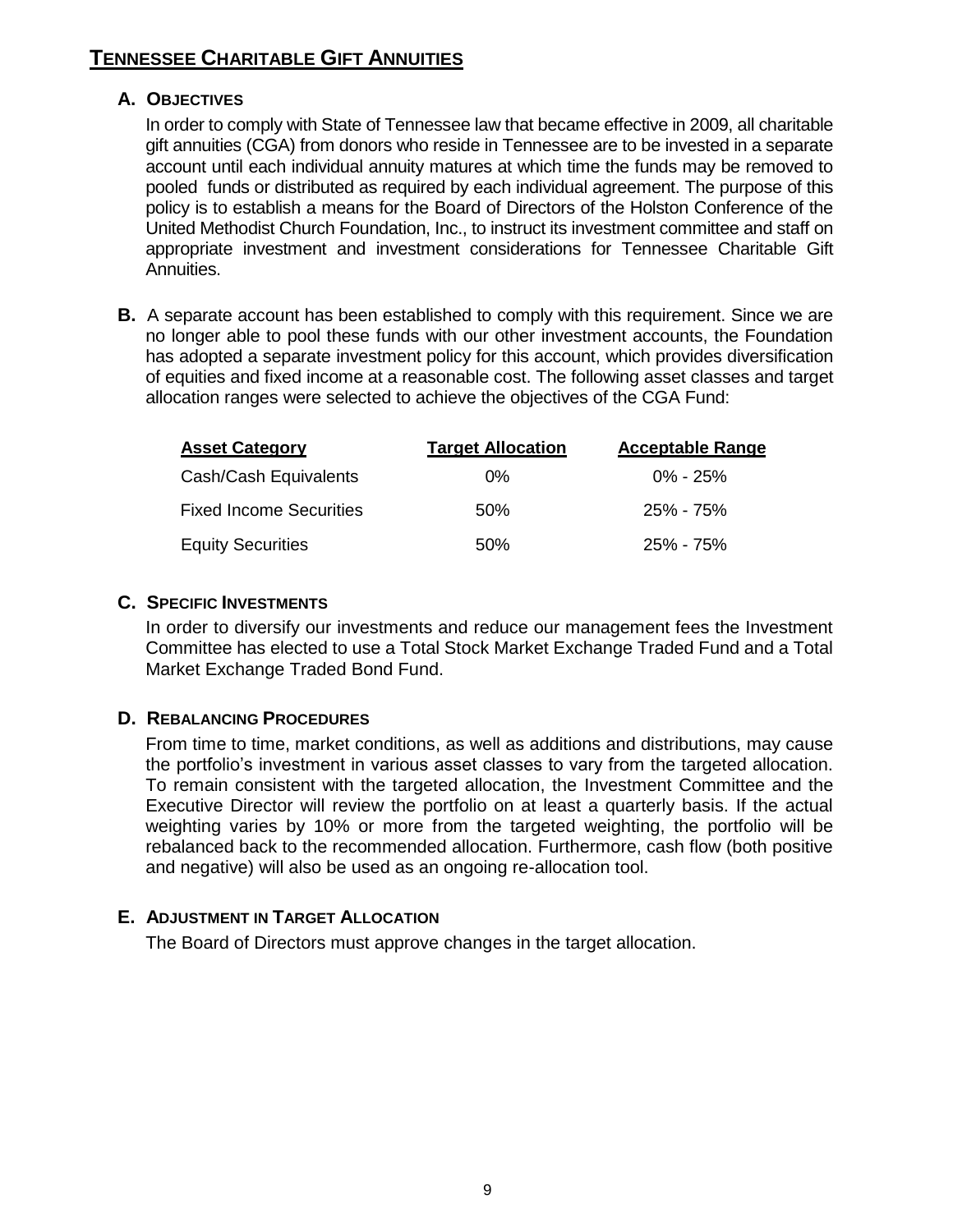# **TENNESSEE CHARITABLE GIFT ANNUITIES**

#### **A. OBJECTIVES**

In order to comply with State of Tennessee law that became effective in 2009, all charitable gift annuities (CGA) from donors who reside in Tennessee are to be invested in a separate account until each individual annuity matures at which time the funds may be removed to pooled funds or distributed as required by each individual agreement. The purpose of this policy is to establish a means for the Board of Directors of the Holston Conference of the United Methodist Church Foundation, Inc., to instruct its investment committee and staff on appropriate investment and investment considerations for Tennessee Charitable Gift Annuities.

**B.** A separate account has been established to comply with this requirement. Since we are no longer able to pool these funds with our other investment accounts, the Foundation has adopted a separate investment policy for this account, which provides diversification of equities and fixed income at a reasonable cost. The following asset classes and target allocation ranges were selected to achieve the objectives of the CGA Fund:

| <b>Asset Category</b>          | <b>Target Allocation</b> | <b>Acceptable Range</b> |
|--------------------------------|--------------------------|-------------------------|
| Cash/Cash Equivalents          | $0\%$                    | $0\% - 25\%$            |
| <b>Fixed Income Securities</b> | .50%                     | $25\% - 75\%$           |
| <b>Equity Securities</b>       | 50%                      | 25% - 75%               |

#### **C. SPECIFIC INVESTMENTS**

In order to diversify our investments and reduce our management fees the Investment Committee has elected to use a Total Stock Market Exchange Traded Fund and a Total Market Exchange Traded Bond Fund.

### **D. REBALANCING PROCEDURES**

From time to time, market conditions, as well as additions and distributions, may cause the portfolio's investment in various asset classes to vary from the targeted allocation. To remain consistent with the targeted allocation, the Investment Committee and the Executive Director will review the portfolio on at least a quarterly basis. If the actual weighting varies by 10% or more from the targeted weighting, the portfolio will be rebalanced back to the recommended allocation. Furthermore, cash flow (both positive and negative) will also be used as an ongoing re-allocation tool.

### **E. ADJUSTMENT IN TARGET ALLOCATION**